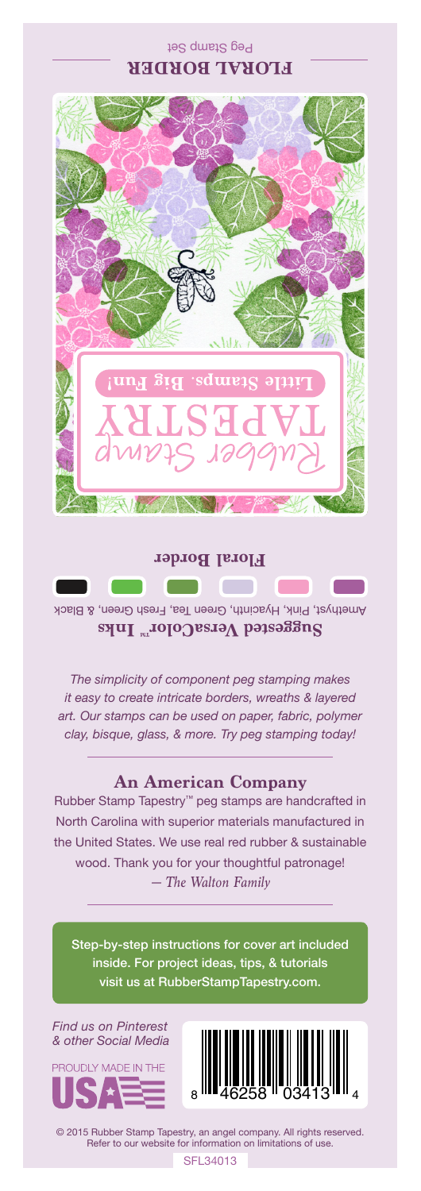## Peg Stamp Set **FLORAL BORDER**



Amethyst, Pink, Hyacinth, Green Tea, Fresh Green, & Black Suggested VersaColor<sup>m</sup> Inks

*The simplicity of component peg stamping makes it easy to create intricate borders, wreaths & layered art. Our stamps can be used on paper, fabric, polymer clay, bisque, glass, & more. Try peg stamping today!*

## **An American Company**

*— The Walton Family* Rubber Stamp Tapestry™ peg stamps are handcrafted in North Carolina with superior materials manufactured in the United States. We use real red rubber & sustainable wood. Thank you for your thoughtful patronage!

Step-by-step instructions for cover art included inside. For project ideas, tips, & tutorials visit us at RubberStampTapestry.com.

*Find us on Pinterest & other Social Media*





© 2015 Rubber Stamp Tapestry, an angel company. All rights reserved. Refer to our website for information on limitations of use.